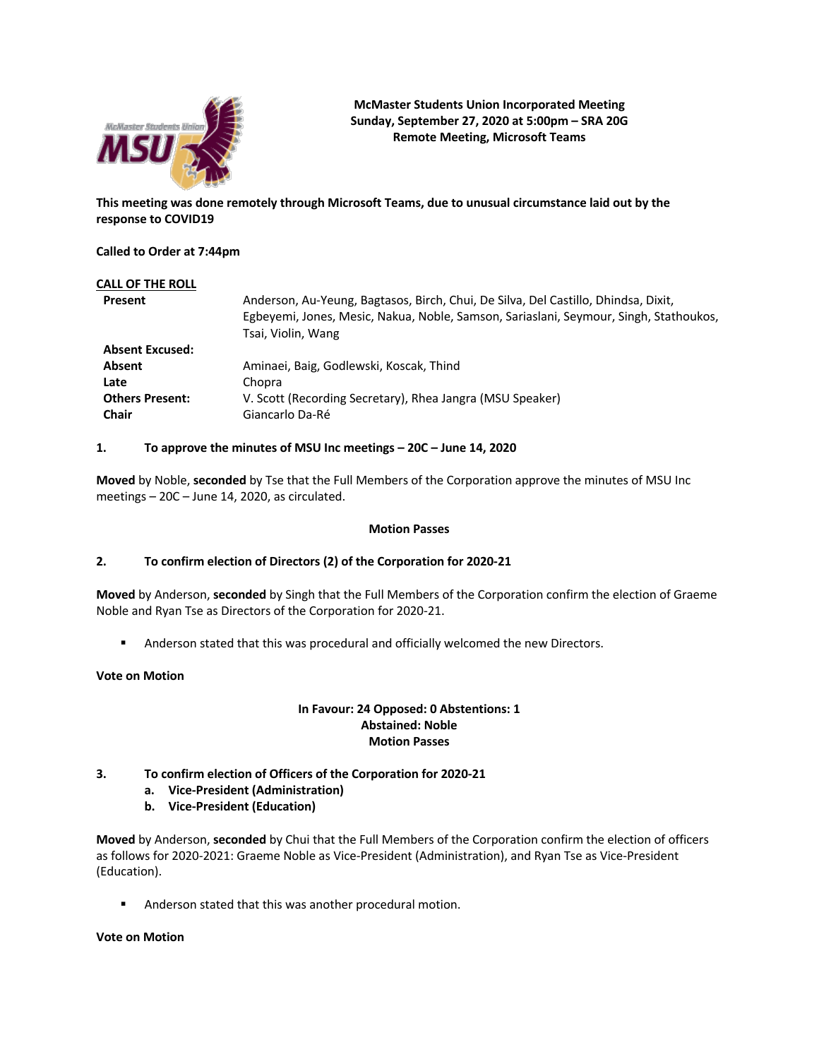

**McMaster Students Union Incorporated Meeting Sunday, September 27, 2020 at 5:00pm – SRA 20G Remote Meeting, Microsoft Teams**

**This meeting was done remotely through Microsoft Teams, due to unusual circumstance laid out by the response to COVID19**

**Called to Order at 7:44pm**

| Anderson, Au-Yeung, Bagtasos, Birch, Chui, De Silva, Del Castillo, Dhindsa, Dixit,<br>Egbeyemi, Jones, Mesic, Nakua, Noble, Samson, Sariaslani, Seymour, Singh, Stathoukos,<br>Tsai, Violin, Wang |
|---------------------------------------------------------------------------------------------------------------------------------------------------------------------------------------------------|
|                                                                                                                                                                                                   |
| Aminaei, Baig, Godlewski, Koscak, Thind                                                                                                                                                           |
| Chopra                                                                                                                                                                                            |
| V. Scott (Recording Secretary), Rhea Jangra (MSU Speaker)                                                                                                                                         |
| Giancarlo Da-Ré                                                                                                                                                                                   |
|                                                                                                                                                                                                   |

#### **1. To approve the minutes of MSU Inc meetings – 20C – June 14, 2020**

**Moved** by Noble, **seconded** by Tse that the Full Members of the Corporation approve the minutes of MSU Inc meetings – 20C – June 14, 2020, as circulated.

#### **Motion Passes**

## **2. To confirm election of Directors (2) of the Corporation for 2020-21**

**Moved** by Anderson, **seconded** by Singh that the Full Members of the Corporation confirm the election of Graeme Noble and Ryan Tse as Directors of the Corporation for 2020-21.

**•** Anderson stated that this was procedural and officially welcomed the new Directors.

### **Vote on Motion**

### **In Favour: 24 Opposed: 0 Abstentions: 1 Abstained: Noble Motion Passes**

## **3. To confirm election of Officers of the Corporation for 2020-21**

- **a. Vice-President (Administration)**
- **b. Vice-President (Education)**

**Moved** by Anderson, **seconded** by Chui that the Full Members of the Corporation confirm the election of officers as follows for 2020-2021: Graeme Noble as Vice-President (Administration), and Ryan Tse as Vice-President (Education).

■ Anderson stated that this was another procedural motion.

### **Vote on Motion**